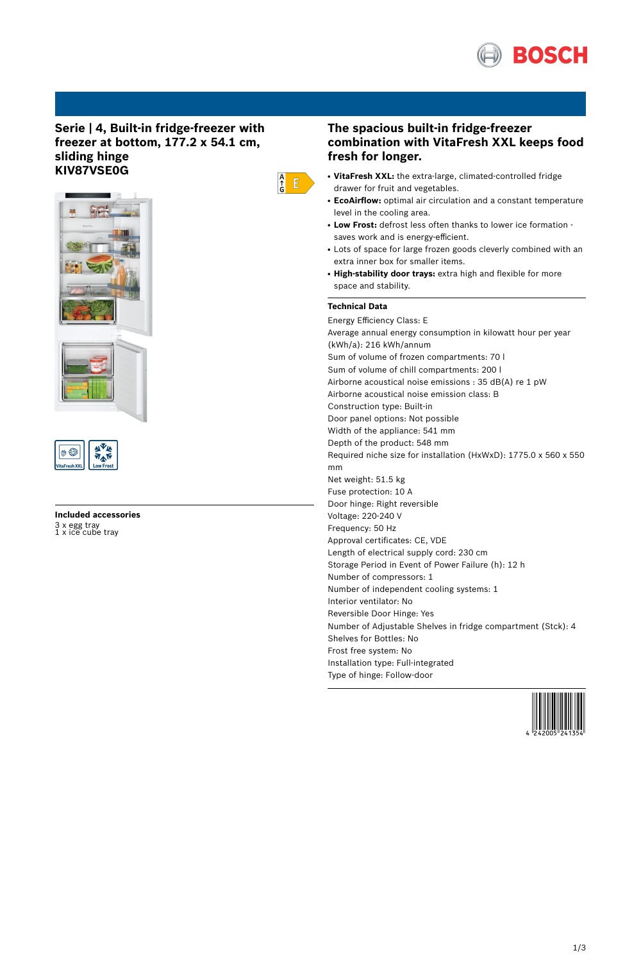

# **Serie | 4, Built-in fridge-freezer with freezer at bottom, 177.2 x 54.1 cm, sliding hinge KIV87VSE0G**





# **Included accessories** 3 x egg tray 1 x ice cube tray

# **The spacious built-in fridge-freezer combination with VitaFresh XXL keeps food fresh for longer.**

- **VitaFresh XXL:** the extra-large, climated-controlled fridge drawer for fruit and vegetables.
- **EcoAirflow:** optimal air circulation and a constant temperature level in the cooling area.
- Low Frost: defrost less often thanks to lower ice formation saves work and is energy-efficient.
- Lots of space for large frozen goods cleverly combined with an extra inner box for smaller items.
- **High-stability door trays:** extra high and flexible for more space and stability.

### **Technical Data**

 $\begin{array}{c} A \\ \uparrow \\ G \end{array}$   $\begin{array}{c} \square \\ \square \end{array}$ 

Energy Efficiency Class: E Average annual energy consumption in kilowatt hour per year (kWh/a): 216 kWh/annum Sum of volume of frozen compartments: 70 l Sum of volume of chill compartments: 200 l Airborne acoustical noise emissions : 35 dB(A) re 1 pW Airborne acoustical noise emission class: B Construction type: Built-in Door panel options: Not possible Width of the appliance: 541 mm Depth of the product: 548 mm Required niche size for installation (HxWxD): 1775.0 x 560 x 550 mm Net weight: 51.5 kg Fuse protection: 10 A Door hinge: Right reversible Voltage: 220-240 V Frequency: 50 Hz Approval certificates: CE, VDE Length of electrical supply cord: 230 cm Storage Period in Event of Power Failure (h): 12 h Number of compressors: 1 Number of independent cooling systems: 1 Interior ventilator: No Reversible Door Hinge: Yes Number of Adjustable Shelves in fridge compartment (Stck): 4 Shelves for Bottles: No Frost free system: No Installation type: Full-integrated Type of hinge: Follow-door

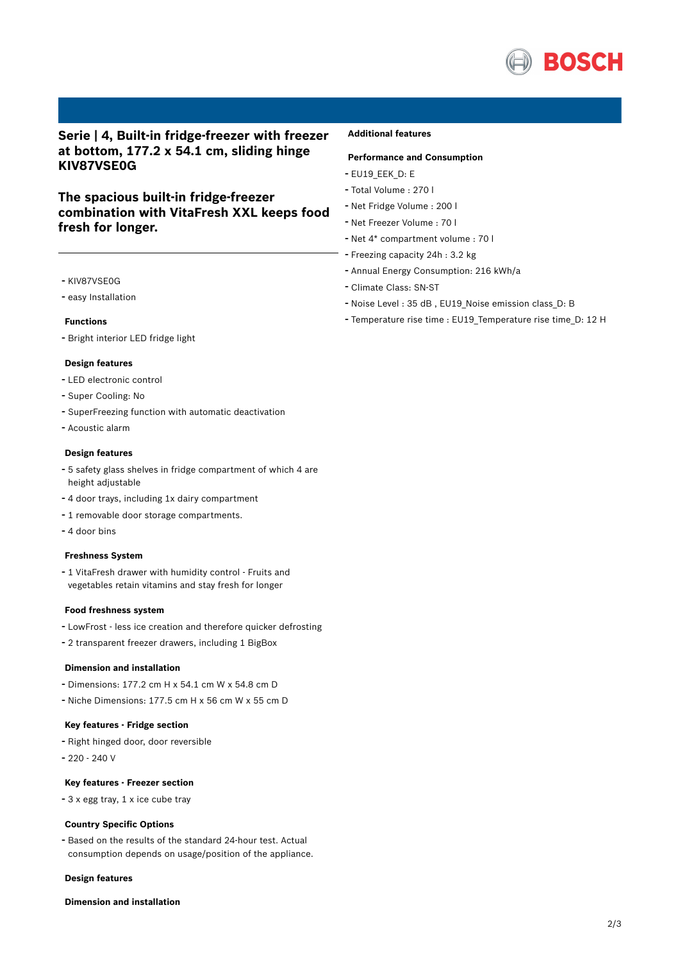

# **Serie | 4, Built-in fridge-freezer with freezer at bottom, 177.2 x 54.1 cm, sliding hinge KIV87VSE0G**

# **The spacious built-in fridge-freezer combination with VitaFresh XXL keeps food fresh for longer.**

- KIV87VSE0G
- easy Installation

#### **Functions**

- Bright interior LED fridge light

#### **Design features**

- LED electronic control
- Super Cooling: No
- SuperFreezing function with automatic deactivation
- Acoustic alarm

#### **Design features**

- <sup>5</sup> safety glass shelves in fridge compartment of which <sup>4</sup> are height adjustable
- <sup>4</sup> door trays, including 1x dairy compartment
- <sup>1</sup> removable door storage compartments.
- 4 door bins

#### **Freshness System**

- <sup>1</sup> VitaFresh drawer with humidity control - Fruits and vegetables retain vitamins and stay fresh for longer

#### **Food freshness system**

- LowFrost less ice creation and therefore quicker defrosting
- <sup>2</sup> transparent freezer drawers, including <sup>1</sup> BigBox

### **Dimension and installation**

- Dimensions: 177.2 cm H x 54.1 cm W x 54.8 cm D
- Niche Dimensions: 177.5 cm <sup>H</sup> <sup>x</sup> <sup>56</sup> cm <sup>W</sup> <sup>x</sup> <sup>55</sup> cm <sup>D</sup>

#### **Key features - Fridge section**

- Right hinged door, door reversible
- 220 240 V

### **Key features - Freezer section**

- <sup>3</sup> <sup>x</sup> egg tray, <sup>1</sup> <sup>x</sup> ice cube tray

#### **Country Specific Options**

- Based on the results of the standard 24-hour test. Actual consumption depends on usage/position of the appliance.

#### **Design features**

### **Dimension and installation**

### **Additional features**

### **Performance and Consumption**

- EU19\_EEK\_D: E
- Total Volume : <sup>270</sup> <sup>l</sup>
- Net Fridge Volume : <sup>200</sup> <sup>l</sup>
- Net Freezer Volume : <sup>70</sup> <sup>l</sup>
- Net 4\* compartment volume : <sup>70</sup> <sup>l</sup>
- Freezing capacity 24h : 3.2 kg
- Annual Energy Consumption: <sup>216</sup> kWh/a
- Climate Class: SN-ST
- Noise Level : <sup>35</sup> dB , EU19\_Noise emission class\_D: <sup>B</sup>
- Temperature rise time : EU19\_Temperature rise time\_D: <sup>12</sup> <sup>H</sup>